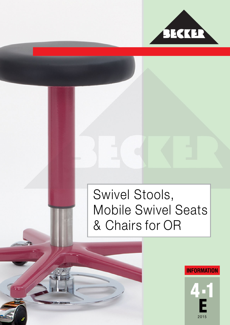

## Swivel Stools, Mobile Swivel Seats & Chairs for OR

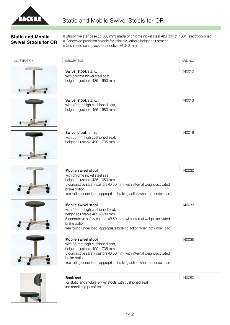

## **Static and Mobile Swivel Stools for OR**

- n Sturdy five star base (Ø 580 mm) made of chrome nickel steel AISI 304 (1.4301) electropolished
- Concealed precision spindle for infinitely variable height adjustment
- $\blacksquare$  Cushioned seat (black) conductive,  $\varnothing$  340 mm

| <b>ILLUSTRATION</b> | <b>DESCRIPTION</b>                                                                                                                                                                                                                                                  | ART. NO. |
|---------------------|---------------------------------------------------------------------------------------------------------------------------------------------------------------------------------------------------------------------------------------------------------------------|----------|
|                     | Swivel stool, static,<br>with chrome nickel steel seat,<br>height adjustable 435 - 650 mm                                                                                                                                                                           | 140010   |
|                     | Swivel stool, static,<br>with 40 mm high cushioned seat,<br>height adjustable 465 - 680 mm                                                                                                                                                                          | 140013   |
|                     | Swivel stool, static,<br>with 65 mm high cushioned seat,<br>height adjustable 490 - 705 mm                                                                                                                                                                          | 140016   |
|                     | <b>Mobile swivel stool</b><br>with chrome nickel steel seat,<br>height adjustable 435 - 650 mm<br>5 conductive safety castors (Ø 50 mm) with internal weight-activated<br>brake option,<br>free rolling under load, appropriate braking action when not under load  | 140030   |
|                     | <b>Mobile swivel stool</b><br>with 40 mm high cushioned seat,<br>height adjustable 465 - 680 mm<br>5 conductive safety castors (Ø 50 mm) with internal weight-activated<br>brake option,<br>free rolling under load, appropriate braking action when not under load | 140033   |
|                     | <b>Mobile swivel stool</b><br>with 65 mm high cushioned seat,<br>height adjustable 490 - 705 mm<br>5 conductive safety castors (Ø 50 mm) with internal weight-activated<br>brake option,<br>free rolling under load, appropriate braking action when not under load | 140036   |
|                     | <b>Back rest</b><br>for static and mobile swivel stools with cushioned seat                                                                                                                                                                                         | 140050   |

(no retrofitting possible)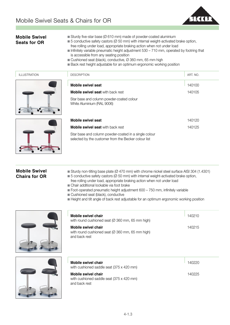

| <b>Mobile Swivel</b><br><b>Seats for OR</b>  | Sturdy five-star base ( $\varnothing$ 610 mm) made of powder-coated aluminium<br>■ 5 conductive safety castors (Ø 50 mm) with internal weight-activated brake option,<br>free rolling under load, appropriate braking action when not under load<br>Infinitely variable pneumatic height adjustment 530 - 710 mm, operated by footring that<br>is accessible from any seating position<br>Cushioned seat (black), conductive, Ø 360 mm, 65 mm high<br>■ Back rest height adjustable for an optimum ergonomic working position |          |
|----------------------------------------------|-------------------------------------------------------------------------------------------------------------------------------------------------------------------------------------------------------------------------------------------------------------------------------------------------------------------------------------------------------------------------------------------------------------------------------------------------------------------------------------------------------------------------------|----------|
| <b>ILLUSTRATION</b>                          | <b>DESCRIPTION</b>                                                                                                                                                                                                                                                                                                                                                                                                                                                                                                            | ART. NO. |
|                                              | <b>Mobile swivel seat</b>                                                                                                                                                                                                                                                                                                                                                                                                                                                                                                     | 140100   |
|                                              | <b>Mobile swivel seat with back rest</b>                                                                                                                                                                                                                                                                                                                                                                                                                                                                                      | 140105   |
|                                              | Star base and column powder-coated colour<br>White Aluminium (RAL 9006)                                                                                                                                                                                                                                                                                                                                                                                                                                                       |          |
|                                              | <b>Mobile swivel seat</b>                                                                                                                                                                                                                                                                                                                                                                                                                                                                                                     | 140120   |
|                                              | <b>Mobile swivel seat with back rest</b>                                                                                                                                                                                                                                                                                                                                                                                                                                                                                      | 140125   |
|                                              | Star base and column powder-coated in a single colour<br>selected by the customer from the Becker colour list                                                                                                                                                                                                                                                                                                                                                                                                                 |          |
| <b>Mobile Swivel</b><br><b>Chairs for OR</b> | ■ Sturdy non-tilting base plate (Ø 470 mm) with chrome nickel steel surface AISI 304 (1.4301)<br>■ 5 conductive safety castors (Ø 50 mm) with internal weight-activated brake option,<br>free rolling under load, appropriate braking action when not under load<br>Chair additional lockable via foot brake<br>Foot-operated pneumatic height adjustment 600 - 750 mm, infinitely variable<br>Cushioned seat (black), conductive<br>Height and tilt angle of back rest adjustable for an optimum ergonomic working position  |          |
|                                              | <b>Mobile swivel chair</b><br>with round cushioned seat (Ø 360 mm, 65 mm high)                                                                                                                                                                                                                                                                                                                                                                                                                                                | 140210   |
|                                              | <b>Mobile swivel chair</b><br>with round cushioned seat (Ø 360 mm, 65 mm high)<br>and back rest                                                                                                                                                                                                                                                                                                                                                                                                                               | 140215   |



| Mobile swivel chair<br>with cushioned saddle seat (375 x 420 mm) | 140220 |
|------------------------------------------------------------------|--------|
| Mobile swivel chair                                              | 140225 |
| with cushioned saddle seat (375 x 420 mm)                        |        |
| and back rest                                                    |        |